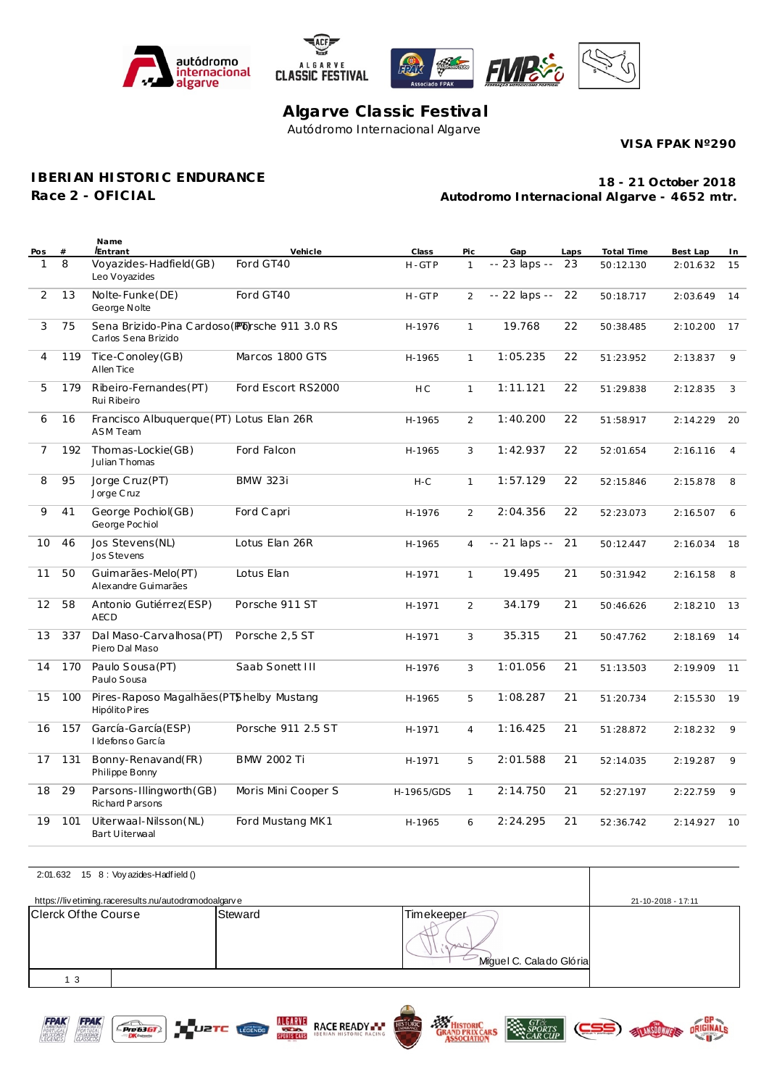





## **Algarve Classic Festival** Autódromo Internacional Algarve

**VISA FPAK Nº290**

**IBERIAN HISTORIC ENDURANCE**

**Race 2 - OFICIAL**

**Autodromo Internacional Algarve - 4652 mtr. 18 - 21 October 2018**

| Pos               | #   | Name<br><i><b>Entrant</b></i>                                         | Vehicle             | Class          | Pic            | Gap           | Laps | Total Time | Best Lap | In             |
|-------------------|-----|-----------------------------------------------------------------------|---------------------|----------------|----------------|---------------|------|------------|----------|----------------|
| 1                 | 8   | Voyazides-Hadfield(GB)<br>Leo Voyazides                               | Ford GT40           | H-GTP          | $\mathbf{1}$   | -- 23 laps -- | 23   | 50:12.130  | 2:01.632 | 15             |
| 2                 | 13  | Nolte-Funke(DE)<br>George Nolte                                       | Ford GT40           | H-GTP          | $\overline{2}$ | -- 22 laps -- | 22   | 50:18.717  | 2:03.649 | 14             |
| 3                 | 75  | Sena Brizido-Pina Cardoso (Pb) sche 911 3.0 RS<br>Carlos Sena Brizido |                     | H-1976         | $\mathbf{1}$   | 19.768        | 22   | 50:38.485  | 2:10.200 | 17             |
| 4                 | 119 | Tice-Conoley (GB)<br>Allen Tice                                       | Marcos 1800 GTS     | H-1965         | $\mathbf{1}$   | 1:05.235      | 22   | 51:23.952  | 2:13.837 | 9              |
| 5                 | 179 | Ribeiro-Fernandes(PT)<br>Rui Ribeiro                                  | Ford Escort RS2000  | H <sub>C</sub> | $\mathbf{1}$   | 1:11.121      | 22   | 51:29.838  | 2:12.835 | 3              |
| 6                 | 16  | Francisco Albuquerque (PT) Lotus Elan 26R<br><b>ASM Team</b>          |                     | H-1965         | $\overline{2}$ | 1:40.200      | 22   | 51:58.917  | 2:14.229 | 20             |
| $\overline{7}$    | 192 | Thomas-Lockie(GB)<br>Julian Thomas                                    | Ford Falcon         | H-1965         | 3              | 1:42.937      | 22   | 52:01.654  | 2:16.116 | $\overline{4}$ |
| 8                 | 95  | Jorge Cruz(PT)<br>Jorge Cruz                                          | <b>BMW 323i</b>     | $H-C$          | $\mathbf{1}$   | 1:57.129      | 22   | 52:15.846  | 2:15.878 | 8              |
| 9                 | 41  | George Pochiol(GB)<br>George Pochiol                                  | Ford Capri          | H-1976         | $\overline{2}$ | 2:04.356      | 22   | 52:23.073  | 2:16.507 | 6              |
| 10                | 46  | Jos Stevens (NL)<br>Jos Stevens                                       | Lotus Elan 26R      | H-1965         | $\overline{4}$ | -- 21 laps -- | 21   | 50:12.447  | 2:16.034 | 18             |
| 11                | 50  | Guimarães-Melo(PT)<br>Alexandre Guimarães                             | Lotus Elan          | H-1971         | $\mathbf{1}$   | 19.495        | 21   | 50:31.942  | 2:16.158 | 8              |
| $12 \overline{ }$ | 58  | Antonio Gutiérrez(ESP)<br><b>AECD</b>                                 | Porsche 911 ST      | H-1971         | $\overline{2}$ | 34.179        | 21   | 50:46.626  | 2:18.210 | 13             |
| 13                | 337 | Dal Maso-Carvalhosa (PT)<br>Piero Dal Maso                            | Porsche 2,5 ST      | H-1971         | 3              | 35.315        | 21   | 50:47.762  | 2:18.169 | 14             |
| 14                | 170 | Paulo Sousa (PT)<br>Paulo Sousa                                       | Saab Sonett III     | H-1976         | 3              | 1:01.056      | 21   | 51:13.503  | 2:19.909 | 11             |
| 15                | 100 | Pires-Raposo Magalhães (PTShelby Mustang<br>Hipólito Pires            |                     | H-1965         | 5              | 1:08.287      | 21   | 51:20.734  | 2:15.530 | 19             |
| 16                | 157 | García-García (ESP)<br>I Idefonso García                              | Porsche 911 2.5 ST  | H-1971         | $\overline{4}$ | 1:16.425      | 21   | 51:28.872  | 2:18.232 | 9              |
| 17                | 131 | Bonny-Renavand(FR)<br>Philippe Bonny                                  | <b>BMW 2002 Ti</b>  | H-1971         | 5              | 2:01.588      | 21   | 52:14.035  | 2:19.287 | 9              |
| 18                | 29  | Parsons-Illingworth (GB)<br>Richard Parsons                           | Moris Mini Cooper S | H-1965/GDS     | $\mathbf{1}$   | 2:14.750      | 21   | 52:27.197  | 2:22.759 | 9              |
| 19                | 101 | Uiterwaal-Nilsson (NL)<br>Bart Uiterwaal                              | Ford Mustang MK1    | H-1965         | 6              | 2:24.295      | 21   | 52:36.742  | 2:14.927 | 10             |

|                      | 2:01.632 15 8 : Voy azides-Hadfield ()               |         |                                       |                    |  |
|----------------------|------------------------------------------------------|---------|---------------------------------------|--------------------|--|
|                      | https://livetiming.raceresults.nu/autodromodoalgarve |         |                                       | 21-10-2018 - 17:11 |  |
| Clerck Of the Course |                                                      | Steward | Timekeeper<br>Miguel C. Calado Glória |                    |  |
| 1 <sub>3</sub>       |                                                      |         |                                       |                    |  |



 $E$  Pre 6361

Ž.





**SPORTS** 

CARS

ELT ANSOOWNELS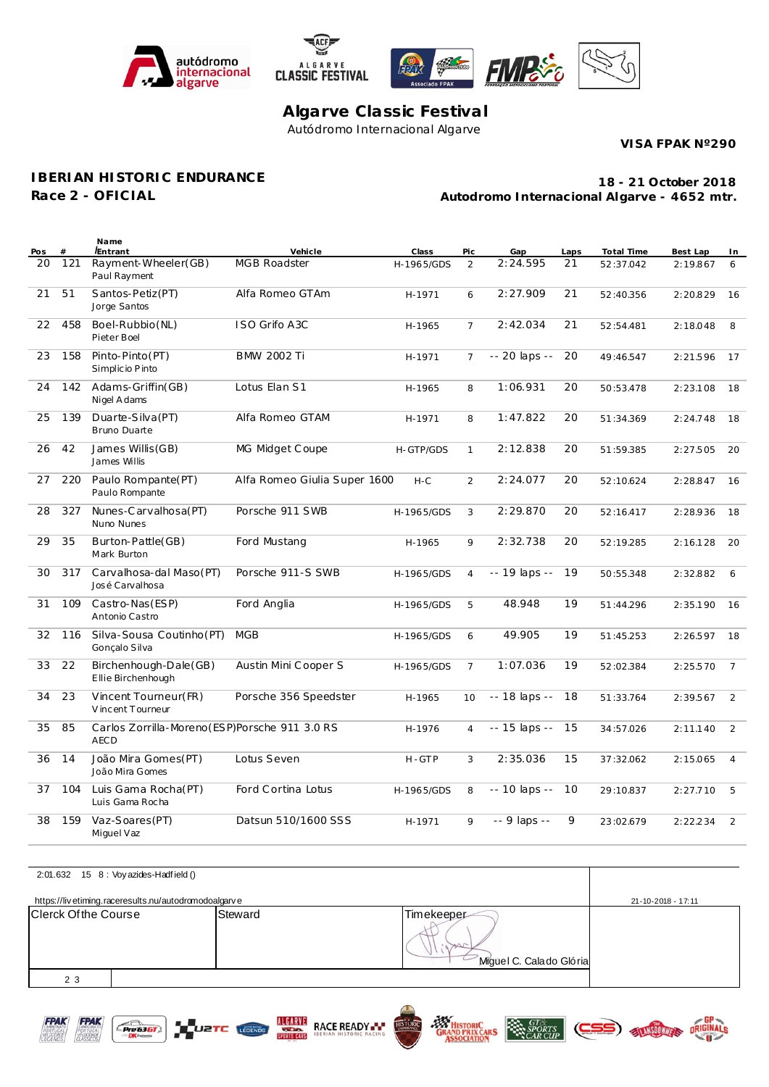





## **Algarve Classic Festival** Autódromo Internacional Algarve

**VISA FPAK Nº290**

## **IBERIAN HISTORIC ENDURANCE**

**Race 2 - OFICIAL**

**Autodromo Internacional Algarve - 4652 mtr. 18 - 21 October 2018**

| Pos | $#$ | Name<br><i><b>Entrant</b></i>                                 | Vehicle                      | Class      | Pic            | Gap           | Laps | Total Time | Best Lap | In             |
|-----|-----|---------------------------------------------------------------|------------------------------|------------|----------------|---------------|------|------------|----------|----------------|
| 20  | 121 | Rayment-Wheeler(GB)<br>Paul Rayment                           | <b>MGB Roadster</b>          | H-1965/GDS | $\overline{2}$ | 2:24.595      | 21   | 52:37.042  | 2:19.867 | 6              |
| 21  | 51  | Santos-Petiz(PT)<br>Jorge Santos                              | Alfa Romeo GTAm              | H-1971     | 6              | 2:27.909      | 21   | 52:40.356  | 2:20.829 | 16             |
| 22  | 458 | Boel-Rubbio(NL)<br>Pieter Boel                                | ISO Grifo A3C                | H-1965     | $\overline{7}$ | 2:42.034      | 21   | 52:54.481  | 2:18.048 | 8              |
| 23  | 158 | Pinto-Pinto (PT)<br>Simplicio Pinto                           | <b>BMW 2002 Ti</b>           | H-1971     | $\overline{7}$ | -- 20 laps -- | 20   | 49:46.547  | 2:21.596 | 17             |
| 24  | 142 | Adams-Griffin(GB)<br>Nigel A dams                             | Lotus Elan S1                | H-1965     | 8              | 1:06.931      | 20   | 50:53.478  | 2:23.108 | 18             |
| 25  | 139 | Duarte-Silva (PT)<br>Bruno Duarte                             | Alfa Romeo GTAM              | H-1971     | 8              | 1:47.822      | 20   | 51:34.369  | 2:24.748 | 18             |
| 26  | 42  | James Willis (GB)<br>James Willis                             | MG Midget Coupe              | H-GTP/GDS  | $\mathbf{1}$   | 2:12.838      | 20   | 51:59.385  | 2:27.505 | 20             |
| 27  | 220 | Paulo Rompante(PT)<br>Paulo Rompante                          | Alfa Romeo Giulia Super 1600 | $H-C$      | 2              | 2:24.077      | 20   | 52:10.624  | 2:28.847 | 16             |
| 28  | 327 | Nunes-Carvalhosa(PT)<br>Nuno Nunes                            | Porsche 911 SWB              | H-1965/GDS | 3              | 2:29.870      | 20   | 52:16.417  | 2:28.936 | 18             |
| 29  | 35  | Burton-Pattle(GB)<br>Mark Burton                              | Ford Mustang                 | H-1965     | 9              | 2:32.738      | 20   | 52:19.285  | 2:16.128 | 20             |
| 30  | 317 | Carvalhosa-dal Maso(PT)<br>José Carvalhosa                    | Porsche 911-S SWB            | H-1965/GDS | $\overline{4}$ | -- 19 laps -- | 19   | 50:55.348  | 2:32.882 | 6              |
| 31  | 109 | Castro-Nas(ESP)<br>Antonio Castro                             | Ford Anglia                  | H-1965/GDS | 5              | 48.948        | 19   | 51:44.296  | 2:35.190 | 16             |
| 32  | 116 | Silva-Sousa Coutinho (PT)<br>Gonçalo Silva                    | <b>MGB</b>                   | H-1965/GDS | 6              | 49.905        | 19   | 51:45.253  | 2:26.597 | 18             |
| 33  | 22  | Birchenhough-Dale (GB)<br>Ellie Birchenhough                  | Austin Mini Cooper S         | H-1965/GDS | $\overline{7}$ | 1:07.036      | 19   | 52:02.384  | 2:25.570 | $\overline{7}$ |
| 34  | 23  | Vincent Tourneur(FR)<br>V incent Tourneur                     | Porsche 356 Speedster        | H-1965     | 10             | -- 18 laps -- | 18   | 51:33.764  | 2:39.567 | 2              |
| 35  | 85  | Carlos Zorrilla-Moreno (ESP)Porsche 911 3.0 RS<br><b>AECD</b> |                              | H-1976     | $\overline{4}$ | -- 15 laps -- | 15   | 34:57.026  | 2:11.140 | 2              |
| 36  | 14  | João Mira Gomes(PT)<br>João Mira Gomes                        | Lotus Seven                  | H-GTP      | 3              | 2:35.036      | 15   | 37:32.062  | 2:15.065 | $\overline{4}$ |
| 37  | 104 | Luis Gama Rocha(PT)<br>Luis Gama Rocha                        | Ford Cortina Lotus           | H-1965/GDS | 8              | -- 10 laps -- | 10   | 29:10.837  | 2:27.710 | 5              |
| 38  | 159 | Vaz-Soares (PT)<br>Miguel Vaz                                 | Datsun 510/1600 SSS          | H-1971     | 9              | $-9$ laps $-$ | 9    | 23:02.679  | 2:22.234 | 2              |

|                      | 2:01.632 15 8 : Voy azides-Hadfield ()               |         |                                       |                    |  |
|----------------------|------------------------------------------------------|---------|---------------------------------------|--------------------|--|
|                      | https://livetiming.raceresults.nu/autodromodoalgarve |         |                                       | 21-10-2018 - 17:11 |  |
| Clerck Of the Course |                                                      | Steward | Timekeeper<br>Miguel C. Calado Glória |                    |  |
| 2 3                  |                                                      |         |                                       |                    |  |





A

 $E$  Pre 6361



 $\left|\sum_{\substack{GTS\\CAR\text{ CUP}}}\right|$ 

ELANSDOWNERS